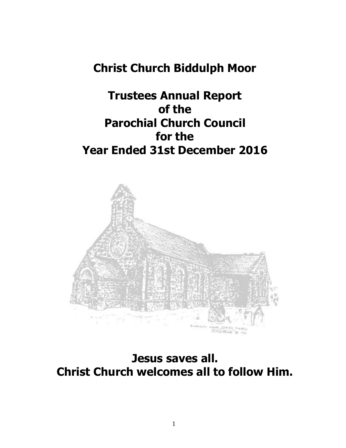# **Christ Church Biddulph Moor**

# **Trustees Annual Report of the Parochial Church Council for the Year Ended 31st December 2016**



**Jesus saves all. Christ Church welcomes all to follow Him.**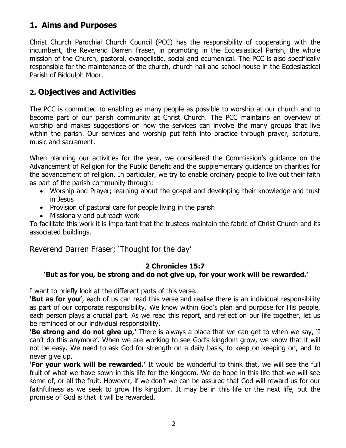# **1. Aims and Purposes**

Christ Church Parochial Church Council (PCC) has the responsibility of cooperating with the incumbent, the Reverend Darren Fraser, in promoting in the Ecclesiastical Parish, the whole mission of the Church, pastoral, evangelistic, social and ecumenical. The PCC is also specifically responsible for the maintenance of the church, church hall and school house in the Ecclesiastical Parish of Biddulph Moor.

## **2. Objectives and Activities**

The PCC is committed to enabling as many people as possible to worship at our church and to become part of our parish community at Christ Church. The PCC maintains an overview of worship and makes suggestions on how the services can involve the many groups that live within the parish. Our services and worship put faith into practice through prayer, scripture, music and sacrament.

When planning our activities for the year, we considered the Commission's guidance on the Advancement of Religion for the Public Benefit and the supplementary guidance on charities for the advancement of religion. In particular, we try to enable ordinary people to live out their faith as part of the parish community through:

- Worship and Prayer; learning about the gospel and developing their knowledge and trust in Jesus
- Provision of pastoral care for people living in the parish
- Missionary and outreach work

To facilitate this work it is important that the trustees maintain the fabric of Christ Church and its associated buildings.

## Reverend Darren Fraser; 'Thought for the day'

## **2 Chronicles 15:7**

## **'But as for you, be strong and do not give up, for your work will be rewarded.'**

I want to briefly look at the different parts of this verse.

**'But as for you'**, each of us can read this verse and realise there is an individual responsibility as part of our corporate responsibility. We know within God's plan and purpose for His people, each person plays a crucial part. As we read this report, and reflect on our life together, let us be reminded of our individual responsibility.

**'Be strong and do not give up,'** There is always a place that we can get to when we say, 'I can't do this anymore'. When we are working to see God's kingdom grow, we know that it will not be easy. We need to ask God for strength on a daily basis, to keep on keeping on, and to never give up.

**'For your work will be rewarded.'** It would be wonderful to think that, we will see the full fruit of what we have sown in this life for the kingdom. We do hope in this life that we will see some of, or all the fruit. However, if we don't we can be assured that God will reward us for our faithfulness as we seek to grow His kingdom. It may be in this life or the next life, but the promise of God is that it will be rewarded.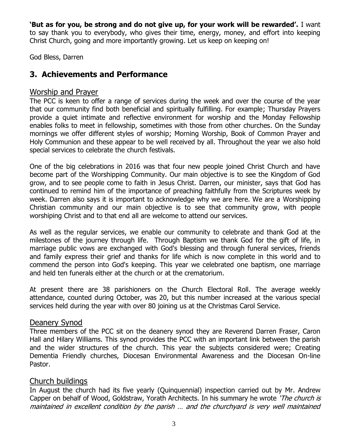**'But as for you, be strong and do not give up, for your work will be rewarded'.** I want to say thank you to everybody, who gives their time, energy, money, and effort into keeping Christ Church, going and more importantly growing. Let us keep on keeping on!

God Bless, Darren

# **3. Achievements and Performance**

## Worship and Prayer

The PCC is keen to offer a range of services during the week and over the course of the year that our community find both beneficial and spiritually fulfilling. For example; Thursday Prayers provide a quiet intimate and reflective environment for worship and the Monday Fellowship enables folks to meet in fellowship, sometimes with those from other churches. On the Sunday mornings we offer different styles of worship; Morning Worship, Book of Common Prayer and Holy Communion and these appear to be well received by all. Throughout the year we also hold special services to celebrate the church festivals.

One of the big celebrations in 2016 was that four new people joined Christ Church and have become part of the Worshipping Community. Our main objective is to see the Kingdom of God grow, and to see people come to faith in Jesus Christ. Darren, our minister, says that God has continued to remind him of the importance of preaching faithfully from the Scriptures week by week. Darren also says it is important to acknowledge why we are here. We are a Worshipping Christian community and our main objective is to see that community grow, with people worshiping Christ and to that end all are welcome to attend our services.

As well as the regular services, we enable our community to celebrate and thank God at the milestones of the journey through life. Through Baptism we thank God for the gift of life, in marriage public vows are exchanged with God's blessing and through funeral services, friends and family express their grief and thanks for life which is now complete in this world and to commend the person into God's keeping. This year we celebrated one baptism, one marriage and held ten funerals either at the church or at the crematorium.

At present there are 38 parishioners on the Church Electoral Roll. The average weekly attendance, counted during October, was 20, but this number increased at the various special services held during the year with over 80 joining us at the Christmas Carol Service.

#### Deanery Synod

Three members of the PCC sit on the deanery synod they are Reverend Darren Fraser, Caron Hall and Hilary Williams. This synod provides the PCC with an important link between the parish and the wider structures of the church. This year the subjects considered were; Creating Dementia Friendly churches, Diocesan Environmental Awareness and the Diocesan On-line Pastor.

## Church buildings

In August the church had its five yearly (Quinquennial) inspection carried out by Mr. Andrew Capper on behalf of Wood, Goldstraw, Yorath Architects. In his summary he wrote 'The church is maintained in excellent condition by the parish … and the churchyard is very well maintained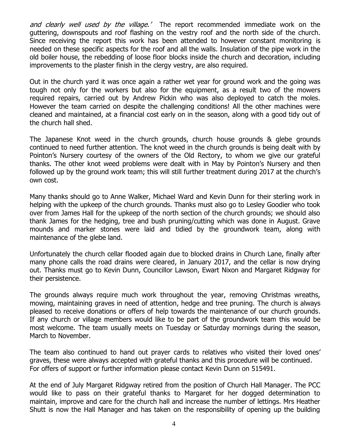and clearly well used by the village.<sup>'</sup> The report recommended immediate work on the guttering, downspouts and roof flashing on the vestry roof and the north side of the church. Since receiving the report this work has been attended to however constant monitoring is needed on these specific aspects for the roof and all the walls. Insulation of the pipe work in the old boiler house, the rebedding of loose floor blocks inside the church and decoration, including improvements to the plaster finish in the clergy vestry, are also required.

Out in the church yard it was once again a rather wet year for ground work and the going was tough not only for the workers but also for the equipment, as a result two of the mowers required repairs, carried out by Andrew Pickin who was also deployed to catch the moles. However the team carried on despite the challenging conditions! All the other machines were cleaned and maintained, at a financial cost early on in the season, along with a good tidy out of the church hall shed.

The Japanese Knot weed in the church grounds, church house grounds & glebe grounds continued to need further attention. The knot weed in the church grounds is being dealt with by Pointon's Nursery courtesy of the owners of the Old Rectory, to whom we give our grateful thanks. The other knot weed problems were dealt with in May by Pointon's Nursery and then followed up by the ground work team; this will still further treatment during 2017 at the church's own cost.

Many thanks should go to Anne Walker, Michael Ward and Kevin Dunn for their sterling work in helping with the upkeep of the church grounds. Thanks must also go to Lesley Goodier who took over from James Hall for the upkeep of the north section of the church grounds; we should also thank James for the hedging, tree and bush pruning/cutting which was done in August. Grave mounds and marker stones were laid and tidied by the groundwork team, along with maintenance of the glebe land.

Unfortunately the church cellar flooded again due to blocked drains in Church Lane, finally after many phone calls the road drains were cleared, in January 2017, and the cellar is now drying out. Thanks must go to Kevin Dunn, Councillor Lawson, Ewart Nixon and Margaret Ridgway for their persistence.

The grounds always require much work throughout the year, removing Christmas wreaths, mowing, maintaining graves in need of attention, hedge and tree pruning. The church is always pleased to receive donations or offers of help towards the maintenance of our church grounds. If any church or village members would like to be part of the groundwork team this would be most welcome. The team usually meets on Tuesday or Saturday mornings during the season, March to November.

The team also continued to hand out prayer cards to relatives who visited their loved ones' graves, these were always accepted with grateful thanks and this procedure will be continued. For offers of support or further information please contact Kevin Dunn on 515491.

At the end of July Margaret Ridgway retired from the position of Church Hall Manager. The PCC would like to pass on their grateful thanks to Margaret for her dogged determination to maintain, improve and care for the church hall and increase the number of lettings. Mrs Heather Shutt is now the Hall Manager and has taken on the responsibility of opening up the building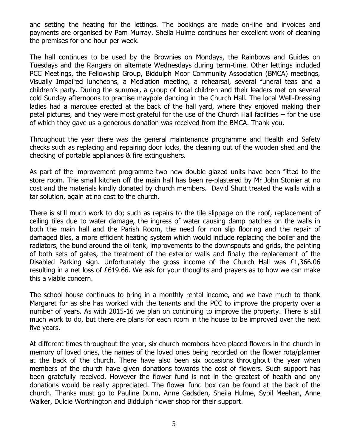and setting the heating for the lettings. The bookings are made on-line and invoices and payments are organised by Pam Murray. Sheila Hulme continues her excellent work of cleaning the premises for one hour per week.

The hall continues to be used by the Brownies on Mondays, the Rainbows and Guides on Tuesdays and the Rangers on alternate Wednesdays during term-time. Other lettings included PCC Meetings, the Fellowship Group, Biddulph Moor Community Association (BMCA) meetings, Visually Impaired luncheons, a Mediation meeting, a rehearsal, several funeral teas and a children's party. During the summer, a group of local children and their leaders met on several cold Sunday afternoons to practise maypole dancing in the Church Hall. The local Well-Dressing ladies had a marquee erected at the back of the hall yard, where they enjoyed making their petal pictures, and they were most grateful for the use of the Church Hall facilities – for the use of which they gave us a generous donation was received from the BMCA. Thank you.

Throughout the year there was the general maintenance programme and Health and Safety checks such as replacing and repairing door locks, the cleaning out of the wooden shed and the checking of portable appliances & fire extinguishers.

As part of the improvement programme two new double glazed units have been fitted to the store room. The small kitchen off the main hall has been re-plastered by Mr John Stonier at no cost and the materials kindly donated by church members. David Shutt treated the walls with a tar solution, again at no cost to the church.

There is still much work to do; such as repairs to the tile slippage on the roof, replacement of ceiling tiles due to water damage, the ingress of water causing damp patches on the walls in both the main hall and the Parish Room, the need for non slip flooring and the repair of damaged tiles, a more efficient heating system which would include replacing the boiler and the radiators, the bund around the oil tank, improvements to the downspouts and grids, the painting of both sets of gates, the treatment of the exterior walls and finally the replacement of the Disabled Parking sign. Unfortunately the gross income of the Church Hall was  $£1,366.06$ resulting in a net loss of £619.66. We ask for your thoughts and prayers as to how we can make this a viable concern.

The school house continues to bring in a monthly rental income, and we have much to thank Margaret for as she has worked with the tenants and the PCC to improve the property over a number of years. As with 2015-16 we plan on continuing to improve the property. There is still much work to do, but there are plans for each room in the house to be improved over the next five years.

At different times throughout the year, six church members have placed flowers in the church in memory of loved ones, the names of the loved ones being recorded on the flower rota/planner at the back of the church. There have also been six occasions throughout the year when members of the church have given donations towards the cost of flowers. Such support has been gratefully received. However the flower fund is not in the greatest of health and any donations would be really appreciated. The flower fund box can be found at the back of the church. Thanks must go to Pauline Dunn, Anne Gadsden, Sheila Hulme, Sybil Meehan, Anne Walker, Dulcie Worthington and Biddulph flower shop for their support.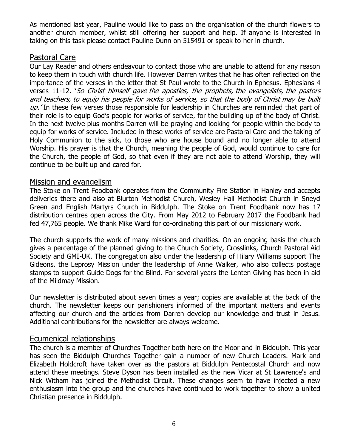As mentioned last year, Pauline would like to pass on the organisation of the church flowers to another church member, whilst still offering her support and help. If anyone is interested in taking on this task please contact Pauline Dunn on 515491 or speak to her in church.

#### Pastoral Care

Our Lay Reader and others endeavour to contact those who are unable to attend for any reason to keep them in touch with church life. However Darren writes that he has often reflected on the importance of the verses in the letter that St Paul wrote to the Church in Ephesus. Ephesians 4 verses 11-12. 'So Christ himself gave the apostles, the prophets, the evangelists, the pastors and teachers, to equip his people for works of service, so that the body of Christ may be built up. In these few verses those responsible for leadership in Churches are reminded that part of their role is to equip God's people for works of service, for the building up of the body of Christ. In the next twelve plus months Darren will be praying and looking for people within the body to equip for works of service. Included in these works of service are Pastoral Care and the taking of Holy Communion to the sick, to those who are house bound and no longer able to attend Worship. His prayer is that the Church, meaning the people of God, would continue to care for the Church, the people of God, so that even if they are not able to attend Worship, they will continue to be built up and cared for.

## Mission and evangelism

The Stoke on Trent Foodbank operates from the Community Fire Station in Hanley and accepts deliveries there and also at Blurton Methodist Church, Wesley Hall Methodist Church in Sneyd Green and English Martyrs Church in Biddulph. The Stoke on Trent Foodbank now has 17 distribution centres open across the City. From May 2012 to February 2017 the Foodbank had fed 47,765 people. We thank Mike Ward for co-ordinating this part of our missionary work.

The church supports the work of many missions and charities. On an ongoing basis the church gives a percentage of the planned giving to the Church Society, Crosslinks, Church Pastoral Aid Society and GMI-UK. The congregation also under the leadership of Hilary Williams support The Gideons, the Leprosy Mission under the leadership of Anne Walker, who also collects postage stamps to support Guide Dogs for the Blind. For several years the Lenten Giving has been in aid of the Mildmay Mission.

Our newsletter is distributed about seven times a year; copies are available at the back of the church. The newsletter keeps our parishioners informed of the important matters and events affecting our church and the articles from Darren develop our knowledge and trust in Jesus. Additional contributions for the newsletter are always welcome.

## Ecumenical relationships

The church is a member of Churches Together both here on the Moor and in Biddulph. This year has seen the Biddulph Churches Together gain a number of new Church Leaders. Mark and Elizabeth Holdcroft have taken over as the pastors at Biddulph Pentecostal Church and now attend these meetings. Steve Dyson has been installed as the new Vicar at St Lawrence's and Nick Witham has joined the Methodist Circuit. These changes seem to have injected a new enthusiasm into the group and the churches have continued to work together to show a united Christian presence in Biddulph.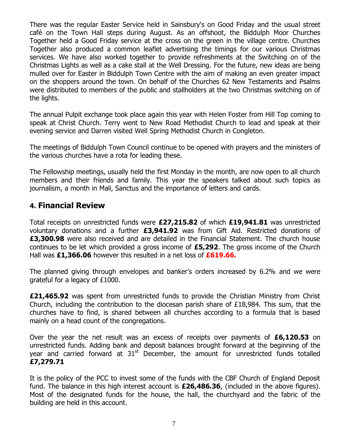There was the regular Easter Service held in Sainsbury's on Good Friday and the usual street café on the Town Hall steps during August. As an offshoot, the Biddulph Moor Churches Together held a Good Friday service at the cross on the green in the village centre. Churches Together also produced a common leaflet advertising the timings for our various Christmas services. We have also worked together to provide refreshments at the Switching on of the Christmas Lights as well as a cake stall at the Well Dressing. For the future, new ideas are being mulled over for Easter in Biddulph Town Centre with the aim of making an even greater impact on the shoppers around the town. On behalf of the Churches 62 New Testaments and Psalms were distributed to members of the public and stallholders at the two Christmas switching on of the lights.

The annual Pulpit exchange took place again this year with Helen Foster from Hill Top coming to speak at Christ Church. Terry went to New Road Methodist Church to lead and speak at their evening service and Darren visited Well Spring Methodist Church in Congleton.

The meetings of Biddulph Town Council continue to be opened with prayers and the ministers of the various churches have a rota for leading these.

The Fellowship meetings, usually held the first Monday in the month, are now open to all church members and their friends and family. This year the speakers talked about such topics as journalism, a month in Mali, Sanctus and the importance of letters and cards.

## **4. Financial Review**

Total receipts on unrestricted funds were **£27,215.82** of which **£19,941.81** was unrestricted voluntary donations and a further **£3,941.92** was from Gift Aid. Restricted donations of **£3,300.98** were also received and are detailed in the Financial Statement. The church house continues to be let which provided a gross income of **£5,292**. The gross income of the Church Hall was **£1,366.06** however this resulted in a net loss of **£619.66.**

The planned giving through envelopes and banker's orders increased by 6.2% and we were grateful for a legacy of £1000.

**£21,465.92** was spent from unrestricted funds to provide the Christian Ministry from Christ Church, including the contribution to the diocesan parish share of £18,984. This sum, that the churches have to find, is shared between all churches according to a formula that is based mainly on a head count of the congregations.

Over the year the net result was an excess of receipts over payments of **£6,120.53** on unrestricted funds. Adding bank and deposit balances brought forward at the beginning of the year and carried forward at  $31<sup>st</sup>$  December, the amount for unrestricted funds totalled **£7,279.71**

It is the policy of the PCC to invest some of the funds with the CBF Church of England Deposit fund. The balance in this high interest account is **£26,486.36**, (included in the above figures). Most of the designated funds for the house, the hall, the churchyard and the fabric of the building are held in this account.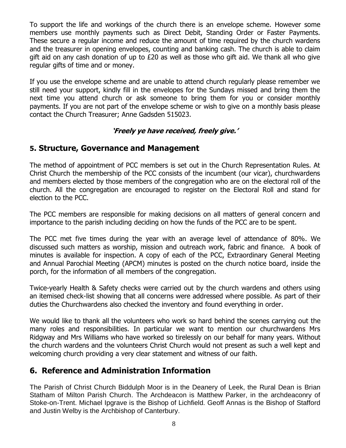To support the life and workings of the church there is an envelope scheme. However some members use monthly payments such as Direct Debit, Standing Order or Faster Payments. These secure a regular income and reduce the amount of time required by the church wardens and the treasurer in opening envelopes, counting and banking cash. The church is able to claim gift aid on any cash donation of up to £20 as well as those who gift aid. We thank all who give regular gifts of time and or money.

If you use the envelope scheme and are unable to attend church regularly please remember we still need your support, kindly fill in the envelopes for the Sundays missed and bring them the next time you attend church or ask someone to bring them for you or consider monthly payments. If you are not part of the envelope scheme or wish to give on a monthly basis please contact the Church Treasurer; Anne Gadsden 515023.

## **'Freely ye have received, freely give.'**

# **5. Structure, Governance and Management**

The method of appointment of PCC members is set out in the Church Representation Rules. At Christ Church the membership of the PCC consists of the incumbent (our vicar), churchwardens and members elected by those members of the congregation who are on the electoral roll of the church. All the congregation are encouraged to register on the Electoral Roll and stand for election to the PCC.

The PCC members are responsible for making decisions on all matters of general concern and importance to the parish including deciding on how the funds of the PCC are to be spent.

The PCC met five times during the year with an average level of attendance of 80%. We discussed such matters as worship, mission and outreach work, fabric and finance. A book of minutes is available for inspection. A copy of each of the PCC, Extraordinary General Meeting and Annual Parochial Meeting (APCM) minutes is posted on the church notice board, inside the porch, for the information of all members of the congregation.

Twice-yearly Health & Safety checks were carried out by the church wardens and others using an itemised check-list showing that all concerns were addressed where possible. As part of their duties the Churchwardens also checked the inventory and found everything in order.

We would like to thank all the volunteers who work so hard behind the scenes carrying out the many roles and responsibilities. In particular we want to mention our churchwardens Mrs Ridgway and Mrs Williams who have worked so tirelessly on our behalf for many years. Without the church wardens and the volunteers Christ Church would not present as such a well kept and welcoming church providing a very clear statement and witness of our faith.

# **6. Reference and Administration Information**

The Parish of Christ Church Biddulph Moor is in the Deanery of Leek, the Rural Dean is Brian Statham of Milton Parish Church. The Archdeacon is Matthew Parker, in the archdeaconry of Stoke-on-Trent. Michael Ipgrave is the Bishop of Lichfield. Geoff Annas is the Bishop of Stafford and Justin Welby is the Archbishop of Canterbury.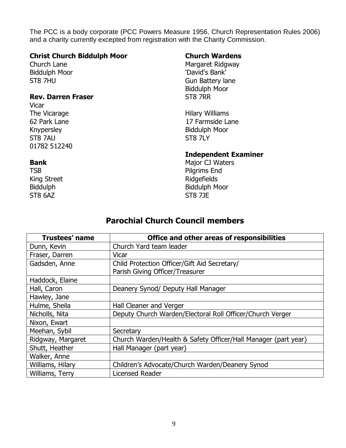The PCC is a body corporate (PCC Powers Measure 1956, Church Representation Rules 2006) and a charity currently excepted from registration with the Charity Commission.

#### **Christ Church Biddulph Moor**

Church Lane Biddulph Moor ST8 7HU

#### **Rev. Darren Fraser**

Vicar The Vicarage 62 Park Lane Knypersley ST8 7AU 01782 512240

#### **Bank**

TSB King Street Biddulph ST8 6AZ

#### **Church Wardens**

Margaret Ridgway 'David's Bank' Gun Battery lane Biddulph Moor ST8 7RR

Hilary Williams 17 Farmside Lane Biddulph Moor ST8 7LY

#### **Independent Examiner**

Major CJ Waters Pilgrims End Ridgefields Biddulph Moor ST8 7JE

## **Parochial Church Council members**

| <b>Trustees' name</b> | Office and other areas of responsibilities                     |  |
|-----------------------|----------------------------------------------------------------|--|
| Dunn, Kevin           | Church Yard team leader                                        |  |
| Fraser, Darren        | Vicar                                                          |  |
| Gadsden, Anne         | Child Protection Officer/Gift Aid Secretary/                   |  |
|                       | Parish Giving Officer/Treasurer                                |  |
| Haddock, Elaine       |                                                                |  |
| Hall, Caron           | Deanery Synod/ Deputy Hall Manager                             |  |
| Hawley, Jane          |                                                                |  |
| Hulme, Sheila         | Hall Cleaner and Verger                                        |  |
| Nicholls, Nita        | Deputy Church Warden/Electoral Roll Officer/Church Verger      |  |
| Nixon, Ewart          |                                                                |  |
| Meehan, Sybil         | Secretary                                                      |  |
| Ridgway, Margaret     | Church Warden/Health & Safety Officer/Hall Manager (part year) |  |
| Shutt, Heather        | Hall Manager (part year)                                       |  |
| Walker, Anne          |                                                                |  |
| Williams, Hilary      | Children's Advocate/Church Warden/Deanery Synod                |  |
| Williams, Terry       | Licensed Reader                                                |  |